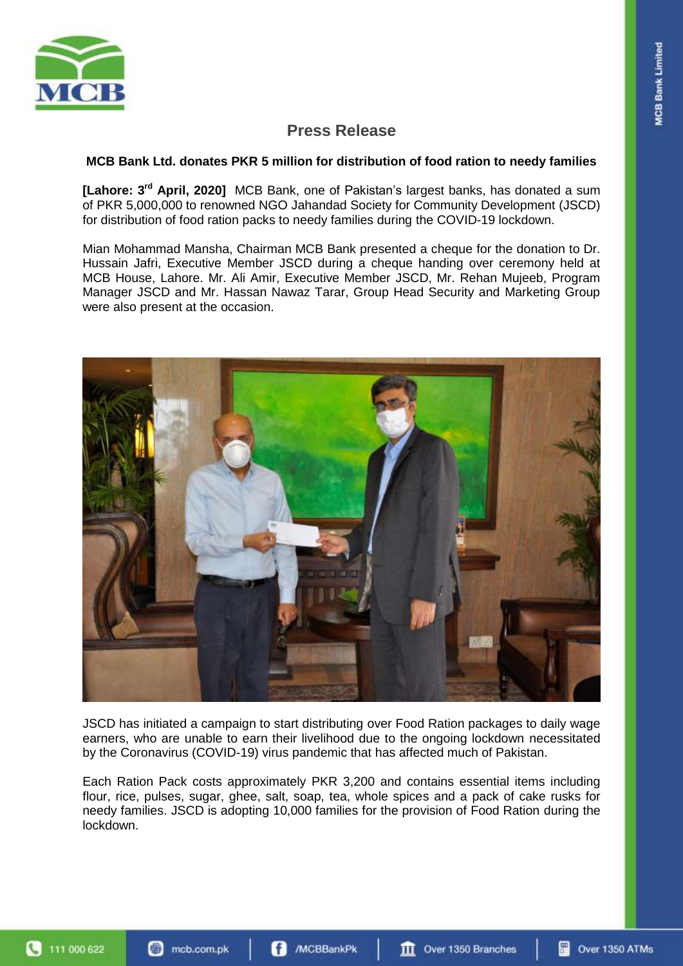

# **Press Release**

### **MCB Bank Ltd. donates PKR 5 million for distribution of food ration to needy families**

[Lahore: 3<sup>rd</sup> April, 2020] MCB Bank, one of Pakistan's largest banks, has donated a sum of PKR 5,000,000 to renowned NGO Jahandad Society for Community Development (JSCD) for distribution of food ration packs to needy families during the COVID-19 lockdown.

Mian Mohammad Mansha, Chairman MCB Bank presented a cheque for the donation to Dr. Hussain Jafri, Executive Member JSCD during a cheque handing over ceremony held at MCB House, Lahore. Mr. Ali Amir, Executive Member JSCD, Mr. Rehan Mujeeb, Program Manager JSCD and Mr. Hassan Nawaz Tarar, Group Head Security and Marketing Group were also present at the occasion.



JSCD has initiated a campaign to start distributing over Food Ration packages to daily wage earners, who are unable to earn their livelihood due to the ongoing lockdown necessitated by the Coronavirus (COVID-19) virus pandemic that has affected much of Pakistan.

Each Ration Pack costs approximately PKR 3,200 and contains essential items including flour, rice, pulses, sugar, ghee, salt, soap, tea, whole spices and a pack of cake rusks for needy families. JSCD is adopting 10,000 families for the provision of Food Ration during the lockdown.

111 000 622 a

**III** Over 1350 Branches